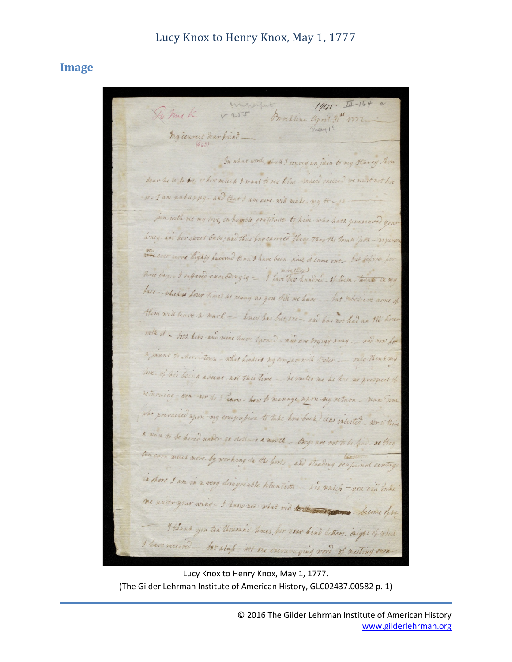## Lucy Knox to Henry Knox, May 1, 1777

## **Image**

wingerful  $1045$  $\frac{1}{11}-164$ So hur K  $V255$ Brakline april 31th 1997 may 1' my couvert dear friend \_ In what words, that I convey an juen to my Starry how dear he is to be where much & want to see him - natice indiced we must not live 12 - I am nataryy - and that I am neve will make - my H - 1. inn with me my long in humble gratitude. to him who hath jinesenved your Liney . and her sweet babe; and thus four carried them theo the Small Jova - nyuron was ever nore highly favored than I have been nice it came out but before for three day ... I inflered exceedingly - I have the hundred - If them - twenty the my face - which is four times as many as you bein me have - - but & believe none of them will leave to mark - Such has but one - and has not had an Ill hover with it - toth hers and mine have turned - and are dressing away ... and now for a jaunt to Morristown - what hinders my compay with Soler - only think my love- of his being absent all this time - he writes me he has no prospect of returning son words I have how to manage upon my return - man Tom who prevailed upon-my compation to take him back) leas extrited , nor is there a man to be hired under to distance a month - Boys are not to be find as they tak carn much more by working in the horts - and standing beamind centry. in those I am in a very disagrenble htuntion - sai unles - you will take me under your wine . I have not what will tester and you become of me I thank you ten thousand times for your hind letters . Enight of which I have received - but alup - not one encouraging nond of meeting same

Lucy Knox to Henry Knox, May 1, 1777. (The Gilder Lehrman Institute of American History, GLC02437.00582 p. 1)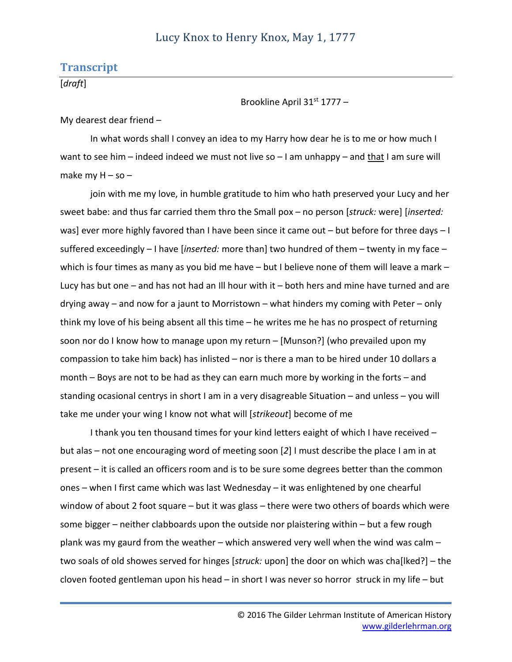## **Transcript**

[*draft*]

Brookline April 31st 1777 –

My dearest dear friend –

In what words shall I convey an idea to my Harry how dear he is to me or how much I want to see him – indeed indeed we must not live so – I am unhappy – and that I am sure will make my  $H -$ so –

join with me my love, in humble gratitude to him who hath preserved your Lucy and her sweet babe: and thus far carried them thro the Small pox – no person [*struck:* were] [*inserted:* was] ever more highly favored than I have been since it came out – but before for three days – I suffered exceedingly – I have [*inserted:* more than] two hundred of them – twenty in my face – which is four times as many as you bid me have – but I believe none of them will leave a mark – Lucy has but one – and has not had an Ill hour with it – both hers and mine have turned and are drying away – and now for a jaunt to Morristown – what hinders my coming with Peter – only think my love of his being absent all this time – he writes me he has no prospect of returning soon nor do I know how to manage upon my return – [Munson?] (who prevailed upon my compassion to take him back) has inlisted – nor is there a man to be hired under 10 dollars a month – Boys are not to be had as they can earn much more by working in the forts – and standing ocasional centrys in short I am in a very disagreable Situation – and unless – you will take me under your wing I know not what will [*strikeout*] become of me

I thank you ten thousand times for your kind letters eaight of which I have received – but alas – not one encouraging word of meeting soon [*2*] I must describe the place I am in at present – it is called an officers room and is to be sure some degrees better than the common ones – when I first came which was last Wednesday – it was enlightened by one chearful window of about 2 foot square – but it was glass – there were two others of boards which were some bigger – neither clabboards upon the outside nor plaistering within – but a few rough plank was my gaurd from the weather – which answered very well when the wind was calm – two soals of old showes served for hinges [*struck:* upon] the door on which was cha[lked?] – the cloven footed gentleman upon his head – in short I was never so horror struck in my life – but